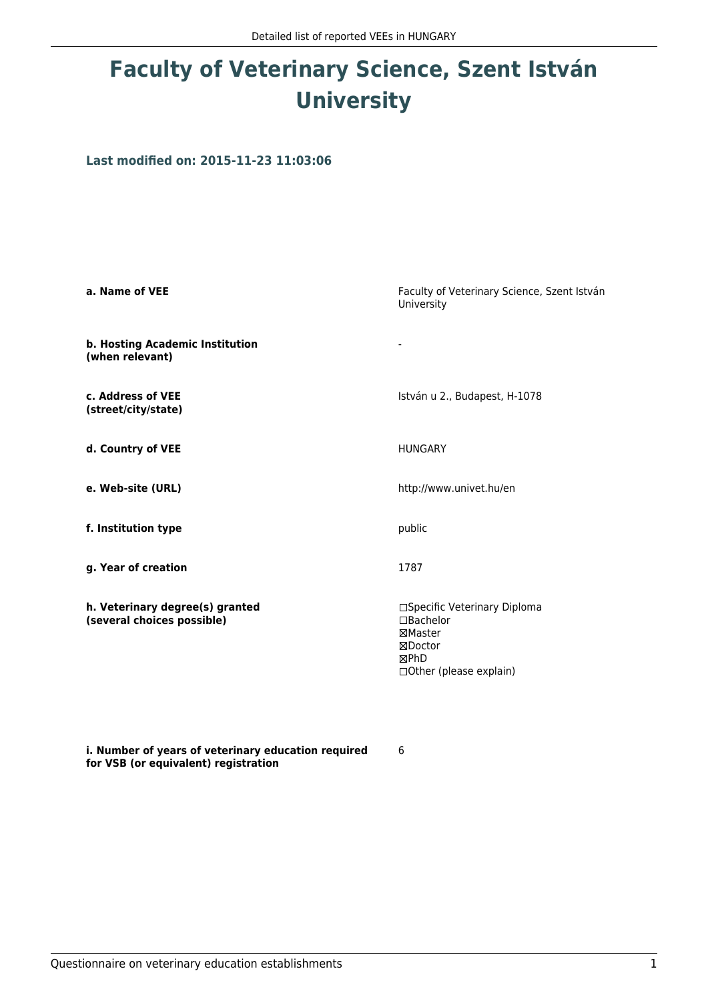## **Faculty of Veterinary Science, Szent István University**

**Last modified on: 2015-11-23 11:03:06**

| a. Name of VEE                                                | Faculty of Veterinary Science, Szent István<br>University                                           |
|---------------------------------------------------------------|-----------------------------------------------------------------------------------------------------|
| b. Hosting Academic Institution<br>(when relevant)            |                                                                                                     |
| c. Address of VEE<br>(street/city/state)                      | István u 2., Budapest, H-1078                                                                       |
| d. Country of VEE                                             | <b>HUNGARY</b>                                                                                      |
| e. Web-site (URL)                                             | http://www.univet.hu/en                                                                             |
| f. Institution type                                           | public                                                                                              |
| g. Year of creation                                           | 1787                                                                                                |
| h. Veterinary degree(s) granted<br>(several choices possible) | □Specific Veterinary Diploma<br>□Bachelor<br>⊠Master<br>⊠Doctor<br>⊠PhD<br>□ Other (please explain) |

**i. Number of years of veterinary education required for VSB (or equivalent) registration**

6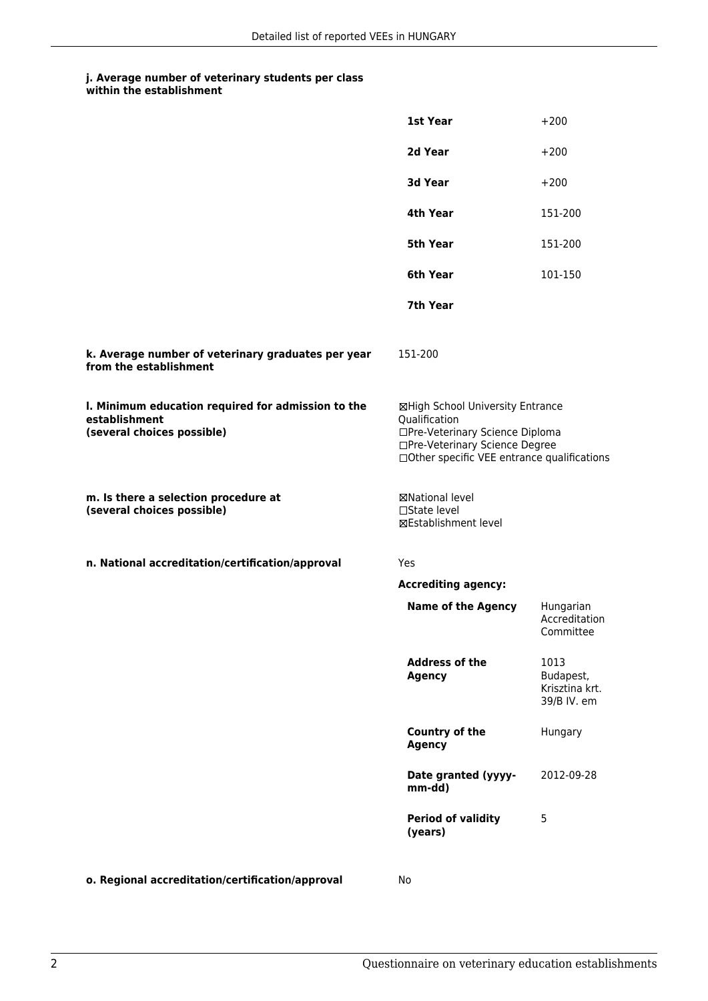## **j. Average number of veterinary students per class**

|                                                                                                   | <b>1st Year</b>                                                                                                                                                        | $+200$                                             |
|---------------------------------------------------------------------------------------------------|------------------------------------------------------------------------------------------------------------------------------------------------------------------------|----------------------------------------------------|
|                                                                                                   | 2d Year                                                                                                                                                                | $+200$                                             |
|                                                                                                   | <b>3d Year</b>                                                                                                                                                         | $+200$                                             |
|                                                                                                   | 4th Year                                                                                                                                                               | 151-200                                            |
|                                                                                                   | 5th Year                                                                                                                                                               | 151-200                                            |
|                                                                                                   | 6th Year                                                                                                                                                               | 101-150                                            |
|                                                                                                   | 7th Year                                                                                                                                                               |                                                    |
| k. Average number of veterinary graduates per year<br>from the establishment                      | 151-200                                                                                                                                                                |                                                    |
| I. Minimum education required for admission to the<br>establishment<br>(several choices possible) | ⊠High School University Entrance<br>Qualification<br>□Pre-Veterinary Science Diploma<br>□Pre-Veterinary Science Degree<br>□ Other specific VEE entrance qualifications |                                                    |
| m. Is there a selection procedure at<br>(several choices possible)                                | ⊠National level<br>□State level<br>⊠Establishment level                                                                                                                |                                                    |
| n. National accreditation/certification/approval                                                  | Yes                                                                                                                                                                    |                                                    |
|                                                                                                   | <b>Accrediting agency:</b>                                                                                                                                             |                                                    |
|                                                                                                   | <b>Name of the Agency</b>                                                                                                                                              | Hungarian<br>Accreditation<br>Committee            |
|                                                                                                   | <b>Address of the</b><br>Agency                                                                                                                                        | 1013<br>Budapest,<br>Krisztina krt.<br>39/B IV. em |
|                                                                                                   | Country of the<br><b>Agency</b>                                                                                                                                        | Hungary                                            |
|                                                                                                   | Date granted (yyyy-<br>mm-dd)                                                                                                                                          | 2012-09-28                                         |
|                                                                                                   | <b>Period of validity</b><br>(years)                                                                                                                                   | 5                                                  |
|                                                                                                   |                                                                                                                                                                        |                                                    |

**o. Regional accreditation/certification/approval** No